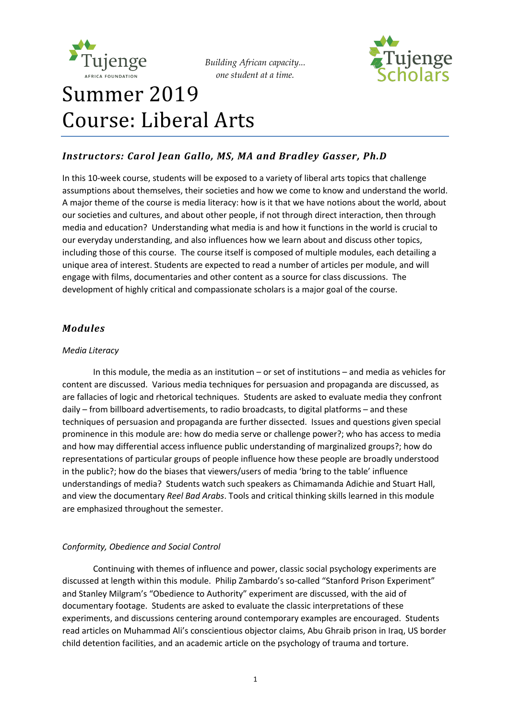



# Summer 2019 Course: Liberal Arts

# *Instructors: Carol Jean Gallo, MS, MA and Bradley Gasser, Ph.D*

In this 10-week course, students will be exposed to a variety of liberal arts topics that challenge assumptions about themselves, their societies and how we come to know and understand the world. A major theme of the course is media literacy: how is it that we have notions about the world, about our societies and cultures, and about other people, if not through direct interaction, then through media and education? Understanding what media is and how it functions in the world is crucial to our everyday understanding, and also influences how we learn about and discuss other topics, including those of this course. The course itself is composed of multiple modules, each detailing a unique area of interest. Students are expected to read a number of articles per module, and will engage with films, documentaries and other content as a source for class discussions. The development of highly critical and compassionate scholars is a major goal of the course.

## *Modules*

#### *Media Literacy*

In this module, the media as an institution – or set of institutions – and media as vehicles for content are discussed. Various media techniques for persuasion and propaganda are discussed, as are fallacies of logic and rhetorical techniques. Students are asked to evaluate media they confront daily – from billboard advertisements, to radio broadcasts, to digital platforms – and these techniques of persuasion and propaganda are further dissected. Issues and questions given special prominence in this module are: how do media serve or challenge power?; who has access to media and how may differential access influence public understanding of marginalized groups?; how do representations of particular groups of people influence how these people are broadly understood in the public?; how do the biases that viewers/users of media 'bring to the table' influence understandings of media? Students watch such speakers as Chimamanda Adichie and Stuart Hall, and view the documentary *Reel Bad Arabs*. Tools and critical thinking skills learned in this module are emphasized throughout the semester.

## *Conformity, Obedience and Social Control*

Continuing with themes of influence and power, classic social psychology experiments are discussed at length within this module. Philip Zambardo's so-called "Stanford Prison Experiment" and Stanley Milgram's "Obedience to Authority" experiment are discussed, with the aid of documentary footage. Students are asked to evaluate the classic interpretations of these experiments, and discussions centering around contemporary examples are encouraged. Students read articles on Muhammad Ali's conscientious objector claims, Abu Ghraib prison in Iraq, US border child detention facilities, and an academic article on the psychology of trauma and torture.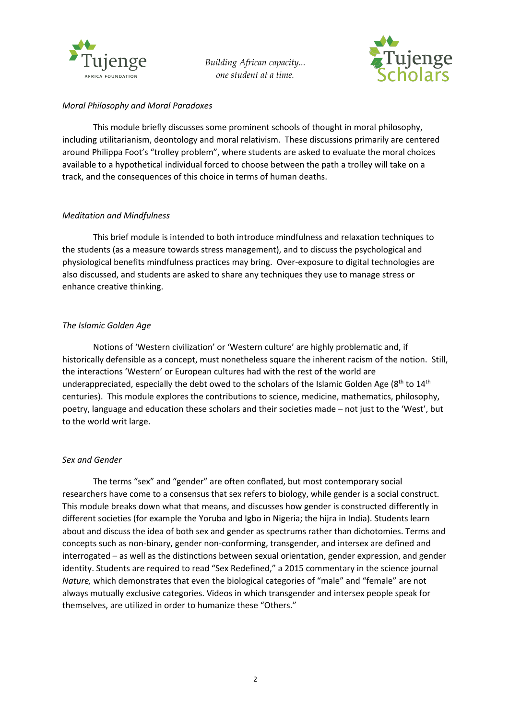



#### *Moral Philosophy and Moral Paradoxes*

This module briefly discusses some prominent schools of thought in moral philosophy, including utilitarianism, deontology and moral relativism. These discussions primarily are centered around Philippa Foot's "trolley problem", where students are asked to evaluate the moral choices available to a hypothetical individual forced to choose between the path a trolley will take on a track, and the consequences of this choice in terms of human deaths.

## *Meditation and Mindfulness*

This brief module is intended to both introduce mindfulness and relaxation techniques to the students (as a measure towards stress management), and to discuss the psychological and physiological benefits mindfulness practices may bring. Over-exposure to digital technologies are also discussed, and students are asked to share any techniques they use to manage stress or enhance creative thinking.

#### *The Islamic Golden Age*

Notions of 'Western civilization' or 'Western culture' are highly problematic and, if historically defensible as a concept, must nonetheless square the inherent racism of the notion. Still, the interactions 'Western' or European cultures had with the rest of the world are underappreciated, especially the debt owed to the scholars of the Islamic Golden Age ( $8<sup>th</sup>$  to  $14<sup>th</sup>$ centuries). This module explores the contributions to science, medicine, mathematics, philosophy, poetry, language and education these scholars and their societies made – not just to the 'West', but to the world writ large.

#### *Sex and Gender*

The terms "sex" and "gender" are often conflated, but most contemporary social researchers have come to a consensus that sex refers to biology, while gender is a social construct. This module breaks down what that means, and discusses how gender is constructed differently in different societies (for example the Yoruba and Igbo in Nigeria; the hijra in India). Students learn about and discuss the idea of both sex and gender as spectrums rather than dichotomies. Terms and concepts such as non-binary, gender non-conforming, transgender, and intersex are defined and interrogated – as well as the distinctions between sexual orientation, gender expression, and gender identity. Students are required to read "Sex Redefined," a 2015 commentary in the science journal *Nature,* which demonstrates that even the biological categories of "male" and "female" are not always mutually exclusive categories. Videos in which transgender and intersex people speak for themselves, are utilized in order to humanize these "Others."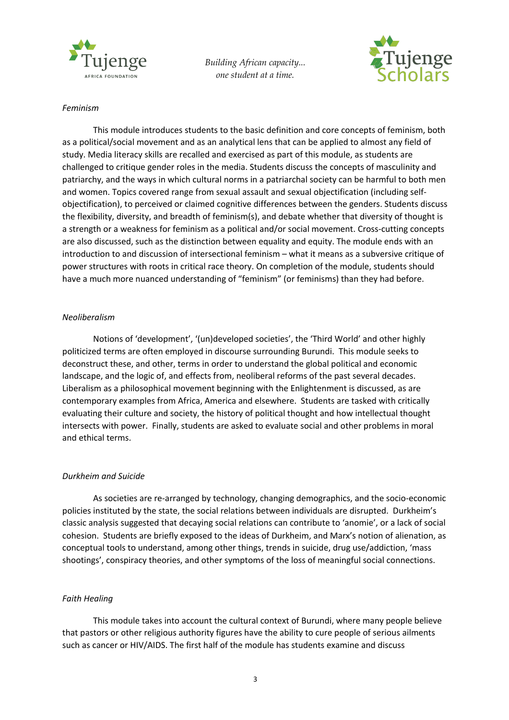



#### *Feminism*

This module introduces students to the basic definition and core concepts of feminism, both as a political/social movement and as an analytical lens that can be applied to almost any field of study. Media literacy skills are recalled and exercised as part of this module, as students are challenged to critique gender roles in the media. Students discuss the concepts of masculinity and patriarchy, and the ways in which cultural norms in a patriarchal society can be harmful to both men and women. Topics covered range from sexual assault and sexual objectification (including selfobjectification), to perceived or claimed cognitive differences between the genders. Students discuss the flexibility, diversity, and breadth of feminism(s), and debate whether that diversity of thought is a strength or a weakness for feminism as a political and/or social movement. Cross-cutting concepts are also discussed, such as the distinction between equality and equity. The module ends with an introduction to and discussion of intersectional feminism – what it means as a subversive critique of power structures with roots in critical race theory. On completion of the module, students should have a much more nuanced understanding of "feminism" (or feminisms) than they had before.

#### *Neoliberalism*

Notions of 'development', '(un)developed societies', the 'Third World' and other highly politicized terms are often employed in discourse surrounding Burundi. This module seeks to deconstruct these, and other, terms in order to understand the global political and economic landscape, and the logic of, and effects from, neoliberal reforms of the past several decades. Liberalism as a philosophical movement beginning with the Enlightenment is discussed, as are contemporary examples from Africa, America and elsewhere. Students are tasked with critically evaluating their culture and society, the history of political thought and how intellectual thought intersects with power. Finally, students are asked to evaluate social and other problems in moral and ethical terms.

## *Durkheim and Suicide*

As societies are re-arranged by technology, changing demographics, and the socio-economic policies instituted by the state, the social relations between individuals are disrupted. Durkheim's classic analysis suggested that decaying social relations can contribute to 'anomie', or a lack of social cohesion. Students are briefly exposed to the ideas of Durkheim, and Marx's notion of alienation, as conceptual tools to understand, among other things, trends in suicide, drug use/addiction, 'mass shootings', conspiracy theories, and other symptoms of the loss of meaningful social connections.

#### *Faith Healing*

This module takes into account the cultural context of Burundi, where many people believe that pastors or other religious authority figures have the ability to cure people of serious ailments such as cancer or HIV/AIDS. The first half of the module has students examine and discuss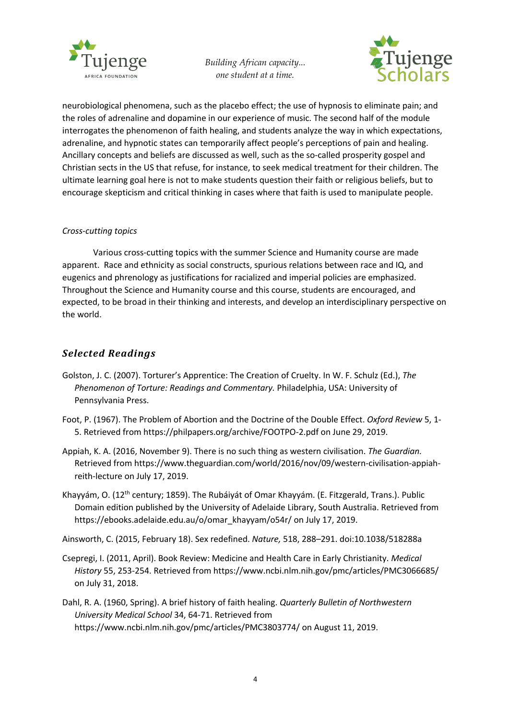



neurobiological phenomena, such as the placebo effect; the use of hypnosis to eliminate pain; and the roles of adrenaline and dopamine in our experience of music. The second half of the module interrogates the phenomenon of faith healing, and students analyze the way in which expectations, adrenaline, and hypnotic states can temporarily affect people's perceptions of pain and healing. Ancillary concepts and beliefs are discussed as well, such as the so-called prosperity gospel and Christian sects in the US that refuse, for instance, to seek medical treatment for their children. The ultimate learning goal here is not to make students question their faith or religious beliefs, but to encourage skepticism and critical thinking in cases where that faith is used to manipulate people.

## *Cross-cutting topics*

Various cross-cutting topics with the summer Science and Humanity course are made apparent. Race and ethnicity as social constructs, spurious relations between race and IQ, and eugenics and phrenology as justifications for racialized and imperial policies are emphasized. Throughout the Science and Humanity course and this course, students are encouraged, and expected, to be broad in their thinking and interests, and develop an interdisciplinary perspective on the world.

## *Selected Readings*

- Golston, J. C. (2007). Torturer's Apprentice: The Creation of Cruelty. In W. F. Schulz (Ed.), *The Phenomenon of Torture: Readings and Commentary.* Philadelphia, USA: University of Pennsylvania Press.
- Foot, P. (1967). The Problem of Abortion and the Doctrine of the Double Effect. *Oxford Review* 5, 1- 5. Retrieved from https://philpapers.org/archive/FOOTPO-2.pdf on June 29, 2019.
- Appiah, K. A. (2016, November 9). There is no such thing as western civilisation. *The Guardian.* Retrieved from https://www.theguardian.com/world/2016/nov/09/western-civilisation-appiahreith-lecture on July 17, 2019.
- Khayyám, O. (12<sup>th</sup> century; 1859). The Rubáiyát of Omar Khayyám. (E. Fitzgerald, Trans.). Public Domain edition published by the University of Adelaide Library, South Australia. Retrieved from https://ebooks.adelaide.edu.au/o/omar\_khayyam/o54r/ on July 17, 2019.

Ainsworth, C. (2015, February 18). Sex redefined. *Nature,* 518, 288–291. doi:10.1038/518288a

- Csepregi, I. (2011, April). Book Review: Medicine and Health Care in Early Christianity. *Medical History* 55, 253-254. Retrieved from https://www.ncbi.nlm.nih.gov/pmc/articles/PMC3066685/ on July 31, 2018.
- Dahl, R. A. (1960, Spring). A brief history of faith healing. *Quarterly Bulletin of Northwestern University Medical School* 34, 64-71. Retrieved from https://www.ncbi.nlm.nih.gov/pmc/articles/PMC3803774/ on August 11, 2019.